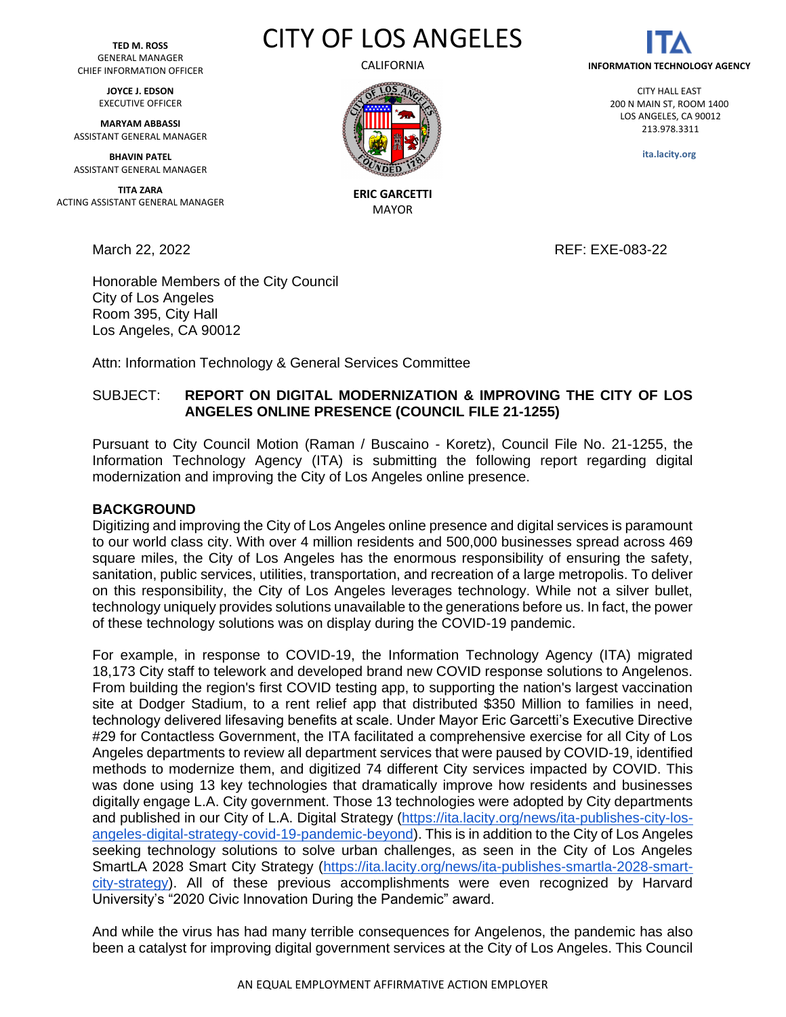**TED M. ROSS** GENERAL MANAGER CHIEF INFORMATION OFFICER

> **JOYCE J. EDSON** EXECUTIVE OFFICER

**MARYAM ABBASSI** ASSISTANT GENERAL MANAGER

**BHAVIN PATEL** ASSISTANT GENERAL MANAGER

**TITA ZARA** ACTING ASSISTANT GENERAL MANAGER

March 22, 2022 REF: EXE-083-22

Honorable Members of the City Council City of Los Angeles Room 395, City Hall Los Angeles, CA 90012

Attn: Information Technology & General Services Committee

# SUBJECT: **REPORT ON DIGITAL MODERNIZATION & IMPROVING THE CITY OF LOS ANGELES ONLINE PRESENCE (COUNCIL FILE 21-1255)**

Pursuant to City Council Motion (Raman / Buscaino - Koretz), Council File No. 21-1255, the Information Technology Agency (ITA) is submitting the following report regarding digital modernization and improving the City of Los Angeles online presence.

#### **BACKGROUND**

Digitizing and improving the City of Los Angeles online presence and digital services is paramount to our world class city. With over 4 million residents and 500,000 businesses spread across 469 square miles, the City of Los Angeles has the enormous responsibility of ensuring the safety, sanitation, public services, utilities, transportation, and recreation of a large metropolis. To deliver on this responsibility, the City of Los Angeles leverages technology. While not a silver bullet, technology uniquely provides solutions unavailable to the generations before us. In fact, the power of these technology solutions was on display during the COVID-19 pandemic.

For example, in response to COVID-19, the Information Technology Agency (ITA) migrated 18,173 City staff to telework and developed brand new COVID response solutions to Angelenos. From building the region's first COVID testing app, to supporting the nation's largest vaccination site at Dodger Stadium, to a rent relief app that distributed \$350 Million to families in need, technology delivered lifesaving benefits at scale. Under Mayor Eric Garcetti's Executive Directive #29 for Contactless Government, the ITA facilitated a comprehensive exercise for all City of Los Angeles departments to review all department services that were paused by COVID-19, identified methods to modernize them, and digitized 74 different City services impacted by COVID. This was done using 13 key technologies that dramatically improve how residents and businesses digitally engage L.A. City government. Those 13 technologies were adopted by City departments and published in our City of L.A. Digital Strategy [\(https://ita.lacity.org/news/ita-publishes-city-los](https://ita.lacity.org/news/ita-publishes-city-los-angeles-digital-strategy-covid-19-pandemic-beyond)[angeles-digital-strategy-covid-19-pandemic-beyond\)](https://ita.lacity.org/news/ita-publishes-city-los-angeles-digital-strategy-covid-19-pandemic-beyond). This is in addition to the City of Los Angeles seeking technology solutions to solve urban challenges, as seen in the City of Los Angeles SmartLA 2028 Smart City Strategy [\(https://ita.lacity.org/news/ita-publishes-smartla-2028-smart](https://ita.lacity.org/news/ita-publishes-smartla-2028-smart-city-strategy)[city-strategy\)](https://ita.lacity.org/news/ita-publishes-smartla-2028-smart-city-strategy). All of these previous accomplishments were even recognized by Harvard University's "2020 Civic Innovation During the Pandemic" award.

And while the virus has had many terrible consequences for Angelenos, the pandemic has also been a catalyst for improving digital government services at the City of Los Angeles. This Council



**ERIC GARCETTI** MAYOR

CITY OF LOS ANGELES



CITY HALL EAST 200 N MAIN ST, ROOM 1400 LOS ANGELES, CA 90012 213.978.3311

**ita.lacity.org**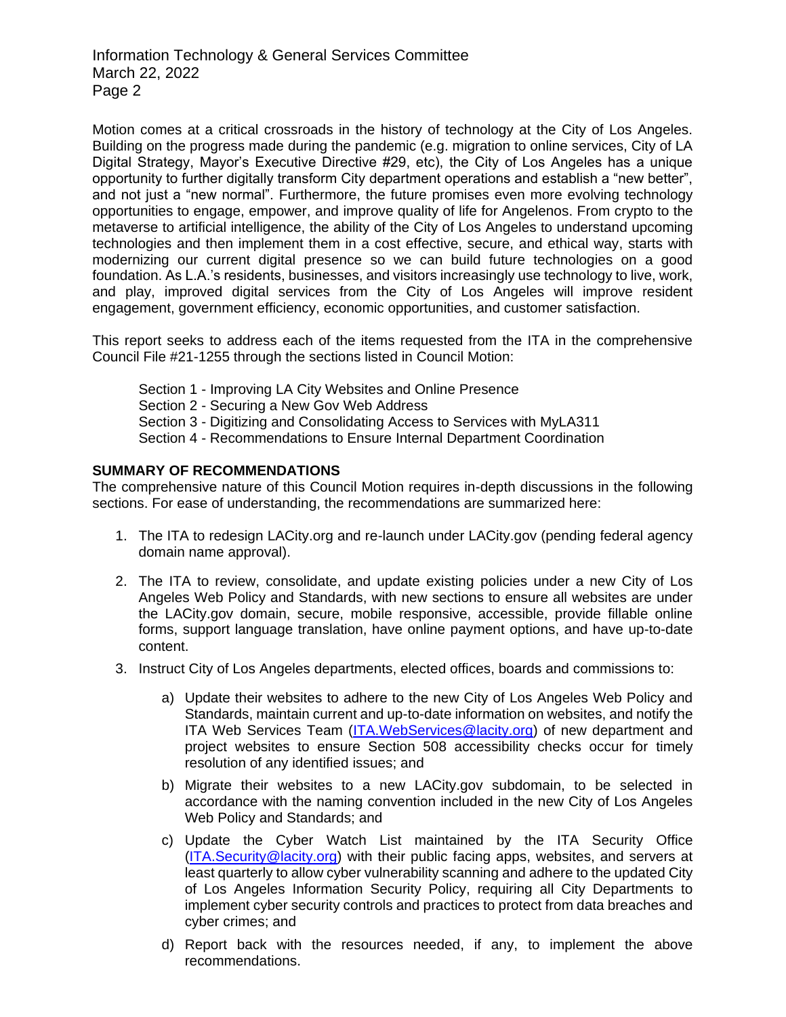Motion comes at a critical crossroads in the history of technology at the City of Los Angeles. Building on the progress made during the pandemic (e.g. migration to online services, City of LA Digital Strategy, Mayor's Executive Directive #29, etc), the City of Los Angeles has a unique opportunity to further digitally transform City department operations and establish a "new better", and not just a "new normal". Furthermore, the future promises even more evolving technology opportunities to engage, empower, and improve quality of life for Angelenos. From crypto to the metaverse to artificial intelligence, the ability of the City of Los Angeles to understand upcoming technologies and then implement them in a cost effective, secure, and ethical way, starts with modernizing our current digital presence so we can build future technologies on a good foundation. As L.A.'s residents, businesses, and visitors increasingly use technology to live, work, and play, improved digital services from the City of Los Angeles will improve resident engagement, government efficiency, economic opportunities, and customer satisfaction.

This report seeks to address each of the items requested from the ITA in the comprehensive Council File #21-1255 through the sections listed in Council Motion:

Section 1 - Improving LA City Websites and Online Presence Section 2 - Securing a New Gov Web Address Section 3 - Digitizing and Consolidating Access to Services with MyLA311 Section 4 - Recommendations to Ensure Internal Department Coordination

### **SUMMARY OF RECOMMENDATIONS**

The comprehensive nature of this Council Motion requires in-depth discussions in the following sections. For ease of understanding, the recommendations are summarized here:

- 1. The ITA to redesign LACity.org and re-launch under LACity.gov (pending federal agency domain name approval).
- 2. The ITA to review, consolidate, and update existing policies under a new City of Los Angeles Web Policy and Standards, with new sections to ensure all websites are under the LACity.gov domain, secure, mobile responsive, accessible, provide fillable online forms, support language translation, have online payment options, and have up-to-date content.
- 3. Instruct City of Los Angeles departments, elected offices, boards and commissions to:
	- a) Update their websites to adhere to the new City of Los Angeles Web Policy and Standards, maintain current and up-to-date information on websites, and notify the ITA Web Services Team [\(ITA.WebServices@lacity.org\)](mailto:ITA.WebServices@lacity.org) of new department and project websites to ensure Section 508 accessibility checks occur for timely resolution of any identified issues; and
	- b) Migrate their websites to a new LACity.gov subdomain, to be selected in accordance with the naming convention included in the new City of Los Angeles Web Policy and Standards; and
	- c) Update the Cyber Watch List maintained by the ITA Security Office [\(ITA.Security@lacity.org\)](mailto:ITA.Security@lacity.org) with their public facing apps, websites, and servers at least quarterly to allow cyber vulnerability scanning and adhere to the updated City of Los Angeles Information Security Policy, requiring all City Departments to implement cyber security controls and practices to protect from data breaches and cyber crimes; and
	- d) Report back with the resources needed, if any, to implement the above recommendations.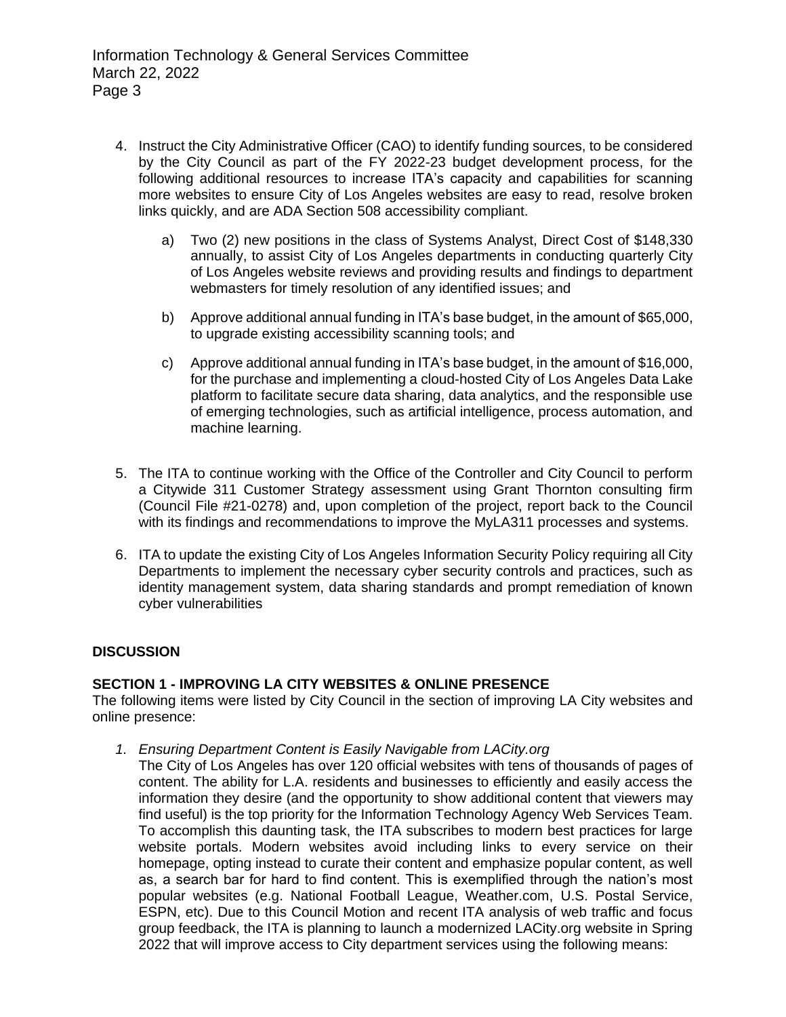- 4. Instruct the City Administrative Officer (CAO) to identify funding sources, to be considered by the City Council as part of the FY 2022-23 budget development process, for the following additional resources to increase ITA's capacity and capabilities for scanning more websites to ensure City of Los Angeles websites are easy to read, resolve broken links quickly, and are ADA Section 508 accessibility compliant.
	- a) Two (2) new positions in the class of Systems Analyst, Direct Cost of \$148,330 annually, to assist City of Los Angeles departments in conducting quarterly City of Los Angeles website reviews and providing results and findings to department webmasters for timely resolution of any identified issues; and
	- b) Approve additional annual funding in ITA's base budget, in the amount of \$65,000, to upgrade existing accessibility scanning tools; and
	- c) Approve additional annual funding in ITA's base budget, in the amount of \$16,000, for the purchase and implementing a cloud-hosted City of Los Angeles Data Lake platform to facilitate secure data sharing, data analytics, and the responsible use of emerging technologies, such as artificial intelligence, process automation, and machine learning.
- 5. The ITA to continue working with the Office of the Controller and City Council to perform a Citywide 311 Customer Strategy assessment using Grant Thornton consulting firm (Council File #21-0278) and, upon completion of the project, report back to the Council with its findings and recommendations to improve the MyLA311 processes and systems.
- 6. ITA to update the existing City of Los Angeles Information Security Policy requiring all City Departments to implement the necessary cyber security controls and practices, such as identity management system, data sharing standards and prompt remediation of known cyber vulnerabilities

## **DISCUSSION**

## **SECTION 1 - IMPROVING LA CITY WEBSITES & ONLINE PRESENCE**

The following items were listed by City Council in the section of improving LA City websites and online presence:

- *1. Ensuring Department Content is Easily Navigable from LACity.org*
	- The City of Los Angeles has over 120 official websites with tens of thousands of pages of content. The ability for L.A. residents and businesses to efficiently and easily access the information they desire (and the opportunity to show additional content that viewers may find useful) is the top priority for the Information Technology Agency Web Services Team. To accomplish this daunting task, the ITA subscribes to modern best practices for large website portals. Modern websites avoid including links to every service on their homepage, opting instead to curate their content and emphasize popular content, as well as, a search bar for hard to find content. This is exemplified through the nation's most popular websites (e.g. National Football League, Weather.com, U.S. Postal Service, ESPN, etc). Due to this Council Motion and recent ITA analysis of web traffic and focus group feedback, the ITA is planning to launch a modernized LACity.org website in Spring 2022 that will improve access to City department services using the following means: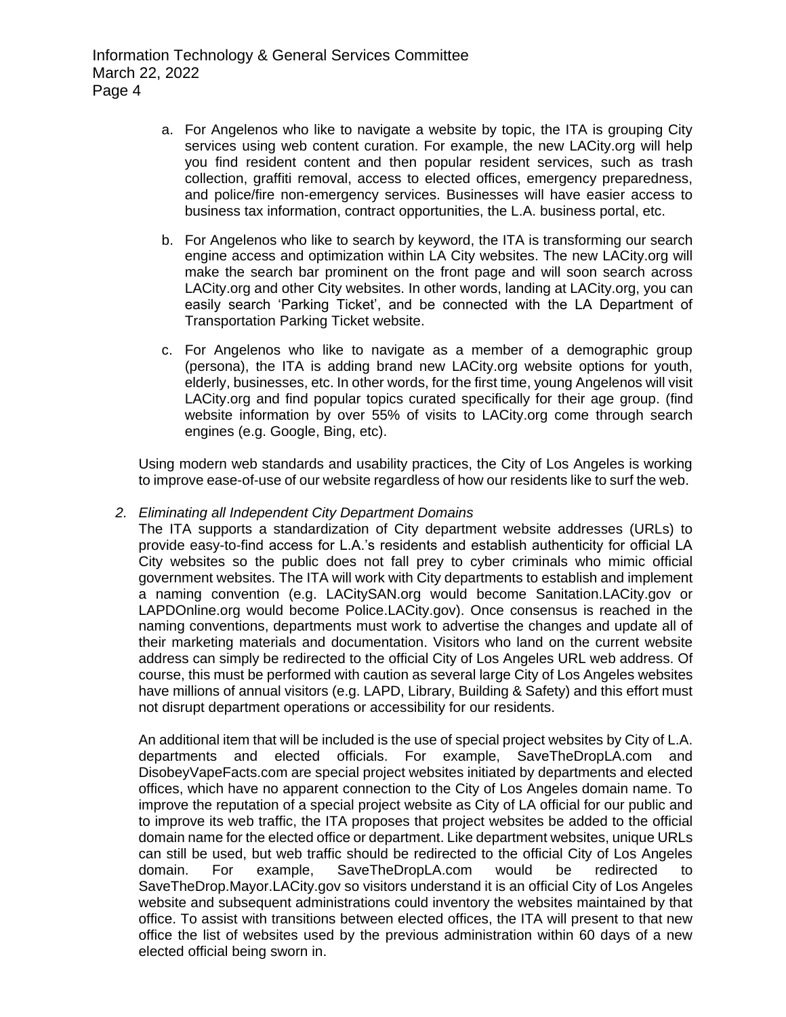- a. For Angelenos who like to navigate a website by topic, the ITA is grouping City services using web content curation. For example, the new LACity.org will help you find resident content and then popular resident services, such as trash collection, graffiti removal, access to elected offices, emergency preparedness, and police/fire non-emergency services. Businesses will have easier access to business tax information, contract opportunities, the L.A. business portal, etc.
- b. For Angelenos who like to search by keyword, the ITA is transforming our search engine access and optimization within LA City websites. The new LACity.org will make the search bar prominent on the front page and will soon search across LACity.org and other City websites. In other words, landing at LACity.org, you can easily search 'Parking Ticket', and be connected with the LA Department of Transportation Parking Ticket website.
- c. For Angelenos who like to navigate as a member of a demographic group (persona), the ITA is adding brand new LACity.org website options for youth, elderly, businesses, etc. In other words, for the first time, young Angelenos will visit LACity.org and find popular topics curated specifically for their age group. (find website information by over 55% of visits to LACity.org come through search engines (e.g. Google, Bing, etc).

Using modern web standards and usability practices, the City of Los Angeles is working to improve ease-of-use of our website regardless of how our residents like to surf the web.

## *2. Eliminating all Independent City Department Domains*

The ITA supports a standardization of City department website addresses (URLs) to provide easy-to-find access for L.A.'s residents and establish authenticity for official LA City websites so the public does not fall prey to cyber criminals who mimic official government websites. The ITA will work with City departments to establish and implement a naming convention (e.g. LACitySAN.org would become Sanitation.LACity.gov or LAPDOnline.org would become Police.LACity.gov). Once consensus is reached in the naming conventions, departments must work to advertise the changes and update all of their marketing materials and documentation. Visitors who land on the current website address can simply be redirected to the official City of Los Angeles URL web address. Of course, this must be performed with caution as several large City of Los Angeles websites have millions of annual visitors (e.g. LAPD, Library, Building & Safety) and this effort must not disrupt department operations or accessibility for our residents.

An additional item that will be included is the use of special project websites by City of L.A. departments and elected officials. For example, SaveTheDropLA.com and DisobeyVapeFacts.com are special project websites initiated by departments and elected offices, which have no apparent connection to the City of Los Angeles domain name. To improve the reputation of a special project website as City of LA official for our public and to improve its web traffic, the ITA proposes that project websites be added to the official domain name for the elected office or department. Like department websites, unique URLs can still be used, but web traffic should be redirected to the official City of Los Angeles domain. For example, SaveTheDropLA.com would be redirected to SaveTheDrop.Mayor.LACity.gov so visitors understand it is an official City of Los Angeles website and subsequent administrations could inventory the websites maintained by that office. To assist with transitions between elected offices, the ITA will present to that new office the list of websites used by the previous administration within 60 days of a new elected official being sworn in.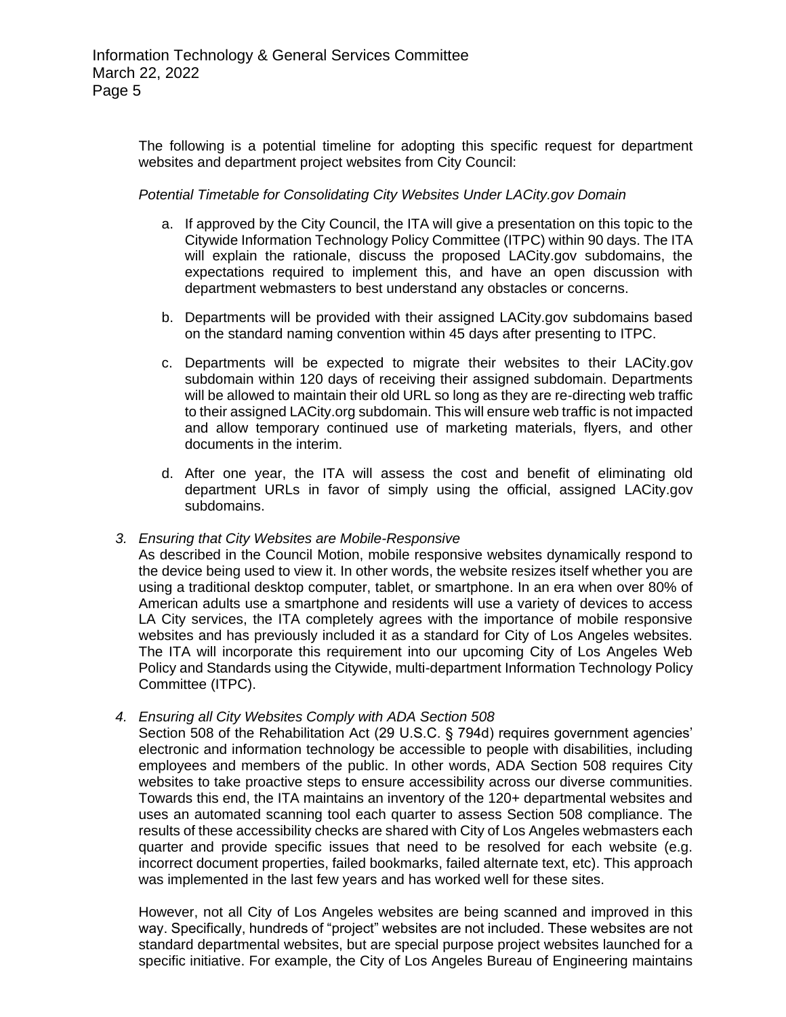The following is a potential timeline for adopting this specific request for department websites and department project websites from City Council:

## *Potential Timetable for Consolidating City Websites Under LACity.gov Domain*

- a. If approved by the City Council, the ITA will give a presentation on this topic to the Citywide Information Technology Policy Committee (ITPC) within 90 days. The ITA will explain the rationale, discuss the proposed LACity.gov subdomains, the expectations required to implement this, and have an open discussion with department webmasters to best understand any obstacles or concerns.
- b. Departments will be provided with their assigned LACity.gov subdomains based on the standard naming convention within 45 days after presenting to ITPC.
- c. Departments will be expected to migrate their websites to their LACity.gov subdomain within 120 days of receiving their assigned subdomain. Departments will be allowed to maintain their old URL so long as they are re-directing web traffic to their assigned LACity.org subdomain. This will ensure web traffic is not impacted and allow temporary continued use of marketing materials, flyers, and other documents in the interim.
- d. After one year, the ITA will assess the cost and benefit of eliminating old department URLs in favor of simply using the official, assigned LACity.gov subdomains.

## *3. Ensuring that City Websites are Mobile-Responsive*

As described in the Council Motion, mobile responsive websites dynamically respond to the device being used to view it. In other words, the website resizes itself whether you are using a traditional desktop computer, tablet, or smartphone. In an era when over 80% of American adults use a smartphone and residents will use a variety of devices to access LA City services, the ITA completely agrees with the importance of mobile responsive websites and has previously included it as a standard for City of Los Angeles websites. The ITA will incorporate this requirement into our upcoming City of Los Angeles Web Policy and Standards using the Citywide, multi-department Information Technology Policy Committee (ITPC).

## *4. Ensuring all City Websites Comply with ADA Section 508*

Section 508 of the Rehabilitation Act (29 U.S.C. § 794d) requires government agencies' electronic and information technology be accessible to people with disabilities, including employees and members of the public. In other words, ADA Section 508 requires City websites to take proactive steps to ensure accessibility across our diverse communities. Towards this end, the ITA maintains an inventory of the 120+ departmental websites and uses an automated scanning tool each quarter to assess Section 508 compliance. The results of these accessibility checks are shared with City of Los Angeles webmasters each quarter and provide specific issues that need to be resolved for each website (e.g. incorrect document properties, failed bookmarks, failed alternate text, etc). This approach was implemented in the last few years and has worked well for these sites.

However, not all City of Los Angeles websites are being scanned and improved in this way. Specifically, hundreds of "project" websites are not included. These websites are not standard departmental websites, but are special purpose project websites launched for a specific initiative. For example, the City of Los Angeles Bureau of Engineering maintains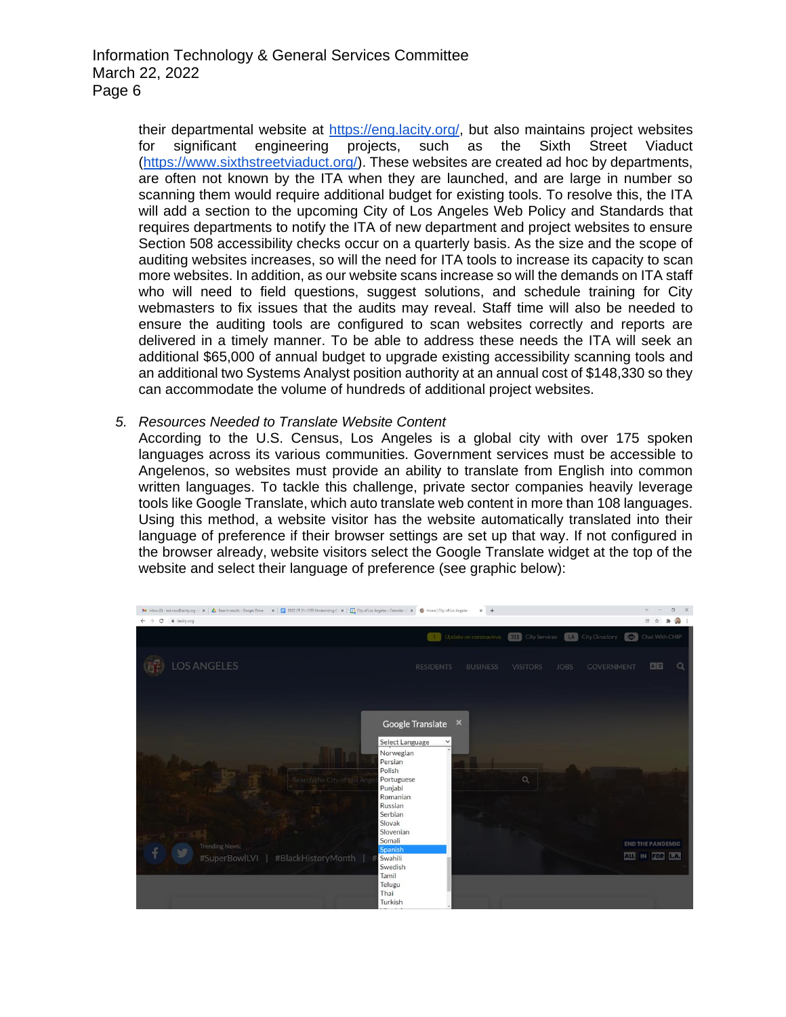their departmental website at [https://eng.lacity.org/,](https://eng.lacity.org/) but also maintains project websites for significant engineering projects, such as the Sixth Street Viaduct [\(https://www.sixthstreetviaduct.org/\)](https://www.sixthstreetviaduct.org/). These websites are created ad hoc by departments, are often not known by the ITA when they are launched, and are large in number so scanning them would require additional budget for existing tools. To resolve this, the ITA will add a section to the upcoming City of Los Angeles Web Policy and Standards that requires departments to notify the ITA of new department and project websites to ensure Section 508 accessibility checks occur on a quarterly basis. As the size and the scope of auditing websites increases, so will the need for ITA tools to increase its capacity to scan more websites. In addition, as our website scans increase so will the demands on ITA staff who will need to field questions, suggest solutions, and schedule training for City webmasters to fix issues that the audits may reveal. Staff time will also be needed to ensure the auditing tools are configured to scan websites correctly and reports are delivered in a timely manner. To be able to address these needs the ITA will seek an additional \$65,000 of annual budget to upgrade existing accessibility scanning tools and an additional two Systems Analyst position authority at an annual cost of \$148,330 so they can accommodate the volume of hundreds of additional project websites.

### *5. Resources Needed to Translate Website Content*

According to the U.S. Census, Los Angeles is a global city with over 175 spoken languages across its various communities. Government services must be accessible to Angelenos, so websites must provide an ability to translate from English into common written languages. To tackle this challenge, private sector companies heavily leverage tools like Google Translate, which auto translate web content in more than 108 languages. Using this method, a website visitor has the website automatically translated into their language of preference if their browser settings are set up that way. If not configured in the browser already, website visitors select the Google Translate widget at the top of the website and select their language of preference (see graphic below):

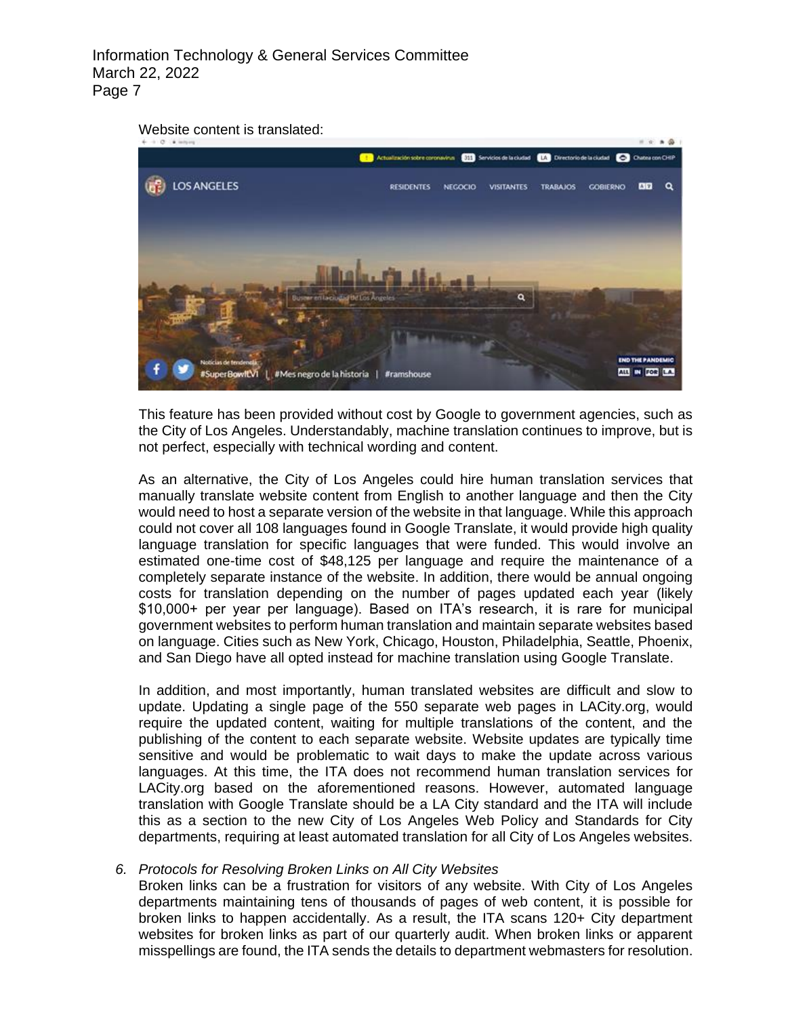



This feature has been provided without cost by Google to government agencies, such as the City of Los Angeles. Understandably, machine translation continues to improve, but is not perfect, especially with technical wording and content.

As an alternative, the City of Los Angeles could hire human translation services that manually translate website content from English to another language and then the City would need to host a separate version of the website in that language. While this approach could not cover all 108 languages found in Google Translate, it would provide high quality language translation for specific languages that were funded. This would involve an estimated one-time cost of \$48,125 per language and require the maintenance of a completely separate instance of the website. In addition, there would be annual ongoing costs for translation depending on the number of pages updated each year (likely \$10,000+ per year per language). Based on ITA's research, it is rare for municipal government websites to perform human translation and maintain separate websites based on language. Cities such as New York, Chicago, Houston, Philadelphia, Seattle, Phoenix, and San Diego have all opted instead for machine translation using Google Translate.

In addition, and most importantly, human translated websites are difficult and slow to update. Updating a single page of the 550 separate web pages in LACity.org, would require the updated content, waiting for multiple translations of the content, and the publishing of the content to each separate website. Website updates are typically time sensitive and would be problematic to wait days to make the update across various languages. At this time, the ITA does not recommend human translation services for LACity.org based on the aforementioned reasons. However, automated language translation with Google Translate should be a LA City standard and the ITA will include this as a section to the new City of Los Angeles Web Policy and Standards for City departments, requiring at least automated translation for all City of Los Angeles websites.

#### *6. Protocols for Resolving Broken Links on All City Websites*

Broken links can be a frustration for visitors of any website. With City of Los Angeles departments maintaining tens of thousands of pages of web content, it is possible for broken links to happen accidentally. As a result, the ITA scans 120+ City department websites for broken links as part of our quarterly audit. When broken links or apparent misspellings are found, the ITA sends the details to department webmasters for resolution.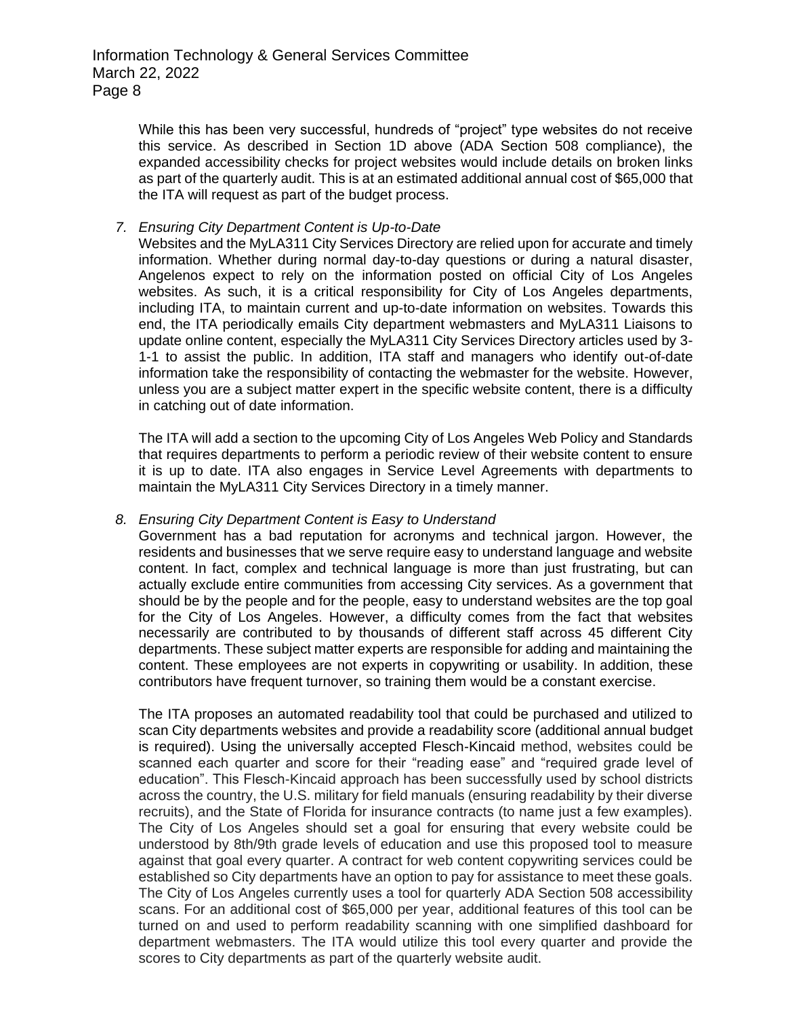While this has been very successful, hundreds of "project" type websites do not receive this service. As described in Section 1D above (ADA Section 508 compliance), the expanded accessibility checks for project websites would include details on broken links as part of the quarterly audit. This is at an estimated additional annual cost of \$65,000 that the ITA will request as part of the budget process.

### *7. Ensuring City Department Content is Up-to-Date*

Websites and the MyLA311 City Services Directory are relied upon for accurate and timely information. Whether during normal day-to-day questions or during a natural disaster, Angelenos expect to rely on the information posted on official City of Los Angeles websites. As such, it is a critical responsibility for City of Los Angeles departments, including ITA, to maintain current and up-to-date information on websites. Towards this end, the ITA periodically emails City department webmasters and MyLA311 Liaisons to update online content, especially the MyLA311 City Services Directory articles used by 3- 1-1 to assist the public. In addition, ITA staff and managers who identify out-of-date information take the responsibility of contacting the webmaster for the website. However, unless you are a subject matter expert in the specific website content, there is a difficulty in catching out of date information.

The ITA will add a section to the upcoming City of Los Angeles Web Policy and Standards that requires departments to perform a periodic review of their website content to ensure it is up to date. ITA also engages in Service Level Agreements with departments to maintain the MyLA311 City Services Directory in a timely manner.

#### *8. Ensuring City Department Content is Easy to Understand*

Government has a bad reputation for acronyms and technical jargon. However, the residents and businesses that we serve require easy to understand language and website content. In fact, complex and technical language is more than just frustrating, but can actually exclude entire communities from accessing City services. As a government that should be by the people and for the people, easy to understand websites are the top goal for the City of Los Angeles. However, a difficulty comes from the fact that websites necessarily are contributed to by thousands of different staff across 45 different City departments. These subject matter experts are responsible for adding and maintaining the content. These employees are not experts in copywriting or usability. In addition, these contributors have frequent turnover, so training them would be a constant exercise.

The ITA proposes an automated readability tool that could be purchased and utilized to scan City departments websites and provide a readability score (additional annual budget is required). Using the universally accepted Flesch-Kincaid method, websites could be scanned each quarter and score for their "reading ease" and "required grade level of education". This Flesch-Kincaid approach has been successfully used by school districts across the country, the U.S. military for field manuals (ensuring readability by their diverse recruits), and the State of Florida for insurance contracts (to name just a few examples). The City of Los Angeles should set a goal for ensuring that every website could be understood by 8th/9th grade levels of education and use this proposed tool to measure against that goal every quarter. A contract for web content copywriting services could be established so City departments have an option to pay for assistance to meet these goals. The City of Los Angeles currently uses a tool for quarterly ADA Section 508 accessibility scans. For an additional cost of \$65,000 per year, additional features of this tool can be turned on and used to perform readability scanning with one simplified dashboard for department webmasters. The ITA would utilize this tool every quarter and provide the scores to City departments as part of the quarterly website audit.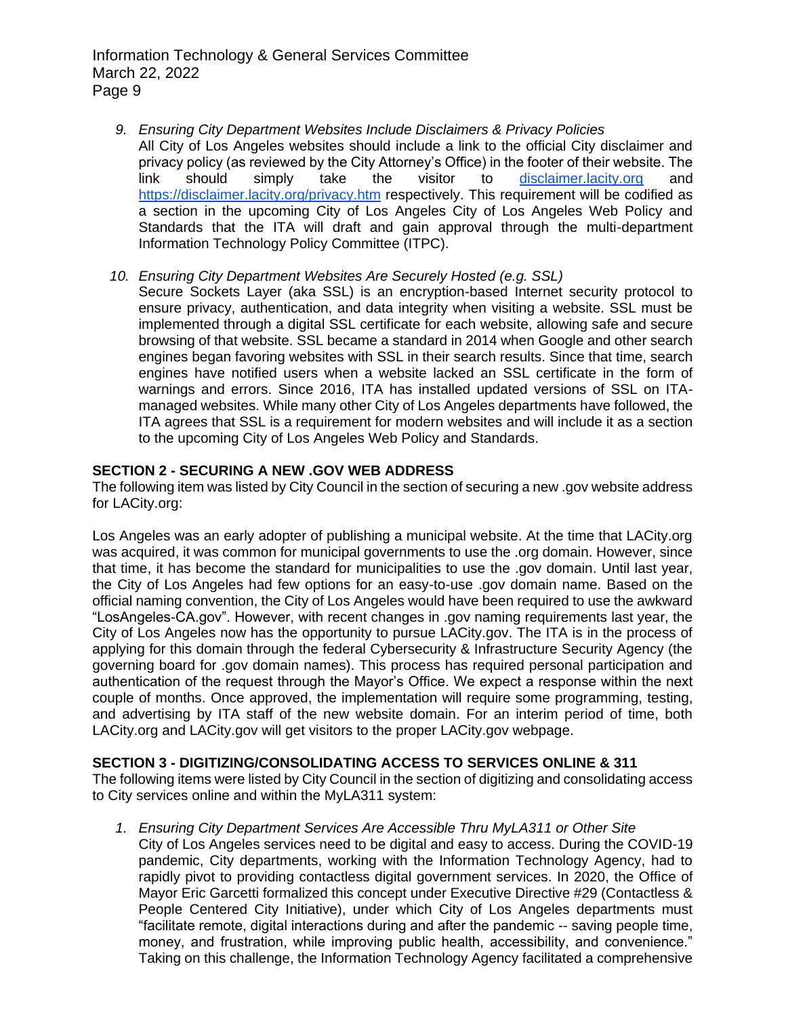- *9. Ensuring City Department Websites Include Disclaimers & Privacy Policies* All City of Los Angeles websites should include a link to the official City disclaimer and privacy policy (as reviewed by the City Attorney's Office) in the footer of their website. The link should simply take the visitor to [disclaimer.lacity.org](https://disclaimer.lacity.org/disclaimer.htm) and <https://disclaimer.lacity.org/privacy.htm> respectively. This requirement will be codified as a section in the upcoming City of Los Angeles City of Los Angeles Web Policy and Standards that the ITA will draft and gain approval through the multi-department Information Technology Policy Committee (ITPC).
- *10. Ensuring City Department Websites Are Securely Hosted (e.g. SSL)*
	- Secure Sockets Layer (aka SSL) is an encryption-based Internet security protocol to ensure privacy, authentication, and data integrity when visiting a website. SSL must be implemented through a digital SSL certificate for each website, allowing safe and secure browsing of that website. SSL became a standard in 2014 when Google and other search engines began favoring websites with SSL in their search results. Since that time, search engines have notified users when a website lacked an SSL certificate in the form of warnings and errors. Since 2016, ITA has installed updated versions of SSL on ITAmanaged websites. While many other City of Los Angeles departments have followed, the ITA agrees that SSL is a requirement for modern websites and will include it as a section to the upcoming City of Los Angeles Web Policy and Standards.

## **SECTION 2 - SECURING A NEW .GOV WEB ADDRESS**

The following item was listed by City Council in the section of securing a new .gov website address for LACity.org:

Los Angeles was an early adopter of publishing a municipal website. At the time that LACity.org was acquired, it was common for municipal governments to use the .org domain. However, since that time, it has become the standard for municipalities to use the .gov domain. Until last year, the City of Los Angeles had few options for an easy-to-use .gov domain name. Based on the official naming convention, the City of Los Angeles would have been required to use the awkward "LosAngeles-CA.gov". However, with recent changes in .gov naming requirements last year, the City of Los Angeles now has the opportunity to pursue LACity.gov. The ITA is in the process of applying for this domain through the federal Cybersecurity & Infrastructure Security Agency (the governing board for .gov domain names). This process has required personal participation and authentication of the request through the Mayor's Office. We expect a response within the next couple of months. Once approved, the implementation will require some programming, testing, and advertising by ITA staff of the new website domain. For an interim period of time, both LACity.org and LACity.gov will get visitors to the proper LACity.gov webpage.

## **SECTION 3 - DIGITIZING/CONSOLIDATING ACCESS TO SERVICES ONLINE & 311**

The following items were listed by City Council in the section of digitizing and consolidating access to City services online and within the MyLA311 system:

*1. Ensuring City Department Services Are Accessible Thru MyLA311 or Other Site*

City of Los Angeles services need to be digital and easy to access. During the COVID-19 pandemic, City departments, working with the Information Technology Agency, had to rapidly pivot to providing contactless digital government services. In 2020, the Office of Mayor Eric Garcetti formalized this concept under Executive Directive #29 (Contactless & People Centered City Initiative), under which City of Los Angeles departments must "facilitate remote, digital interactions during and after the pandemic -- saving people time, money, and frustration, while improving public health, accessibility, and convenience." Taking on this challenge, the Information Technology Agency facilitated a comprehensive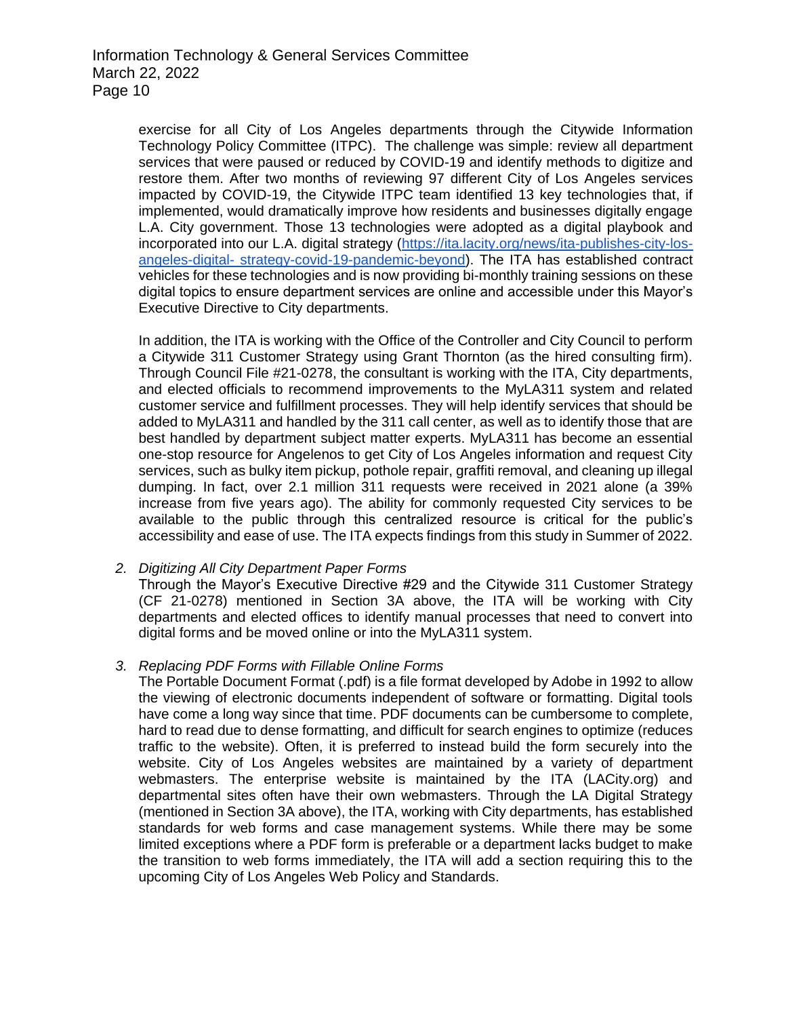exercise for all City of Los Angeles departments through the Citywide Information Technology Policy Committee (ITPC). The challenge was simple: review all department services that were paused or reduced by COVID-19 and identify methods to digitize and restore them. After two months of reviewing 97 different City of Los Angeles services impacted by COVID-19, the Citywide ITPC team identified 13 key technologies that, if implemented, would dramatically improve how residents and businesses digitally engage L.A. City government. Those 13 technologies were adopted as a digital playbook and incorporated into our L.A. digital strategy [\(https://ita.lacity.org/news/ita-publishes-city-los](https://ita.lacity.org/news/ita-publishes-city-los-angeles-digital-strategy-covid-19-pandemic-beyond)angeles-digital- [strategy-covid-19-pandemic-beyond\)](https://ita.lacity.org/news/ita-publishes-city-los-angeles-digital-strategy-covid-19-pandemic-beyond). The ITA has established contract vehicles for these technologies and is now providing bi-monthly training sessions on these digital topics to ensure department services are online and accessible under this Mayor's Executive Directive to City departments.

In addition, the ITA is working with the Office of the Controller and City Council to perform a Citywide 311 Customer Strategy using Grant Thornton (as the hired consulting firm). Through Council File #21-0278, the consultant is working with the ITA, City departments, and elected officials to recommend improvements to the MyLA311 system and related customer service and fulfillment processes. They will help identify services that should be added to MyLA311 and handled by the 311 call center, as well as to identify those that are best handled by department subject matter experts. MyLA311 has become an essential one-stop resource for Angelenos to get City of Los Angeles information and request City services, such as bulky item pickup, pothole repair, graffiti removal, and cleaning up illegal dumping. In fact, over 2.1 million 311 requests were received in 2021 alone (a 39% increase from five years ago). The ability for commonly requested City services to be available to the public through this centralized resource is critical for the public's accessibility and ease of use. The ITA expects findings from this study in Summer of 2022.

## *2. Digitizing All City Department Paper Forms*

Through the Mayor's Executive Directive #29 and the Citywide 311 Customer Strategy (CF 21-0278) mentioned in Section 3A above, the ITA will be working with City departments and elected offices to identify manual processes that need to convert into digital forms and be moved online or into the MyLA311 system.

## *3. Replacing PDF Forms with Fillable Online Forms*

The Portable Document Format (.pdf) is a file format developed by Adobe in 1992 to allow the viewing of electronic documents independent of software or formatting. Digital tools have come a long way since that time. PDF documents can be cumbersome to complete, hard to read due to dense formatting, and difficult for search engines to optimize (reduces traffic to the website). Often, it is preferred to instead build the form securely into the website. City of Los Angeles websites are maintained by a variety of department webmasters. The enterprise website is maintained by the ITA (LACity.org) and departmental sites often have their own webmasters. Through the LA Digital Strategy (mentioned in Section 3A above), the ITA, working with City departments, has established standards for web forms and case management systems. While there may be some limited exceptions where a PDF form is preferable or a department lacks budget to make the transition to web forms immediately, the ITA will add a section requiring this to the upcoming City of Los Angeles Web Policy and Standards.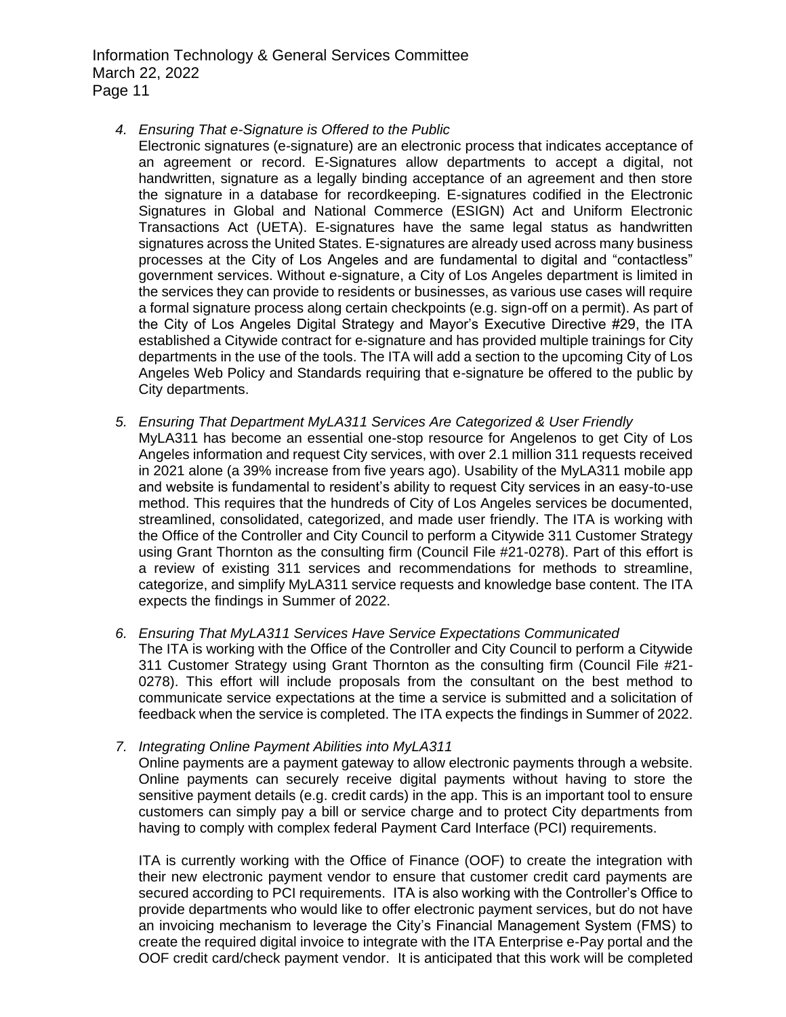*4. Ensuring That e-Signature is Offered to the Public*

Electronic signatures (e-signature) are an electronic process that indicates acceptance of an agreement or record. E-Signatures allow departments to accept a digital, not handwritten, signature as a legally binding acceptance of an agreement and then store the signature in a database for recordkeeping. E-signatures codified in the Electronic Signatures in Global and National Commerce (ESIGN) Act and Uniform Electronic Transactions Act (UETA). E-signatures have the same legal status as handwritten signatures across the United States. E-signatures are already used across many business processes at the City of Los Angeles and are fundamental to digital and "contactless" government services. Without e-signature, a City of Los Angeles department is limited in the services they can provide to residents or businesses, as various use cases will require a formal signature process along certain checkpoints (e.g. sign-off on a permit). As part of the City of Los Angeles Digital Strategy and Mayor's Executive Directive #29, the ITA established a Citywide contract for e-signature and has provided multiple trainings for City departments in the use of the tools. The ITA will add a section to the upcoming City of Los Angeles Web Policy and Standards requiring that e-signature be offered to the public by City departments.

- *5. Ensuring That Department MyLA311 Services Are Categorized & User Friendly* MyLA311 has become an essential one-stop resource for Angelenos to get City of Los Angeles information and request City services, with over 2.1 million 311 requests received in 2021 alone (a 39% increase from five years ago). Usability of the MyLA311 mobile app and website is fundamental to resident's ability to request City services in an easy-to-use method. This requires that the hundreds of City of Los Angeles services be documented, streamlined, consolidated, categorized, and made user friendly. The ITA is working with the Office of the Controller and City Council to perform a Citywide 311 Customer Strategy using Grant Thornton as the consulting firm (Council File #21-0278). Part of this effort is a review of existing 311 services and recommendations for methods to streamline, categorize, and simplify MyLA311 service requests and knowledge base content. The ITA expects the findings in Summer of 2022.
- *6. Ensuring That MyLA311 Services Have Service Expectations Communicated* The ITA is working with the Office of the Controller and City Council to perform a Citywide 311 Customer Strategy using Grant Thornton as the consulting firm (Council File #21- 0278). This effort will include proposals from the consultant on the best method to communicate service expectations at the time a service is submitted and a solicitation of feedback when the service is completed. The ITA expects the findings in Summer of 2022.
- *7. Integrating Online Payment Abilities into MyLA311*

Online payments are a payment gateway to allow electronic payments through a website. Online payments can securely receive digital payments without having to store the sensitive payment details (e.g. credit cards) in the app. This is an important tool to ensure customers can simply pay a bill or service charge and to protect City departments from having to comply with complex federal Payment Card Interface (PCI) requirements.

ITA is currently working with the Office of Finance (OOF) to create the integration with their new electronic payment vendor to ensure that customer credit card payments are secured according to PCI requirements. ITA is also working with the Controller's Office to provide departments who would like to offer electronic payment services, but do not have an invoicing mechanism to leverage the City's Financial Management System (FMS) to create the required digital invoice to integrate with the ITA Enterprise e-Pay portal and the OOF credit card/check payment vendor. It is anticipated that this work will be completed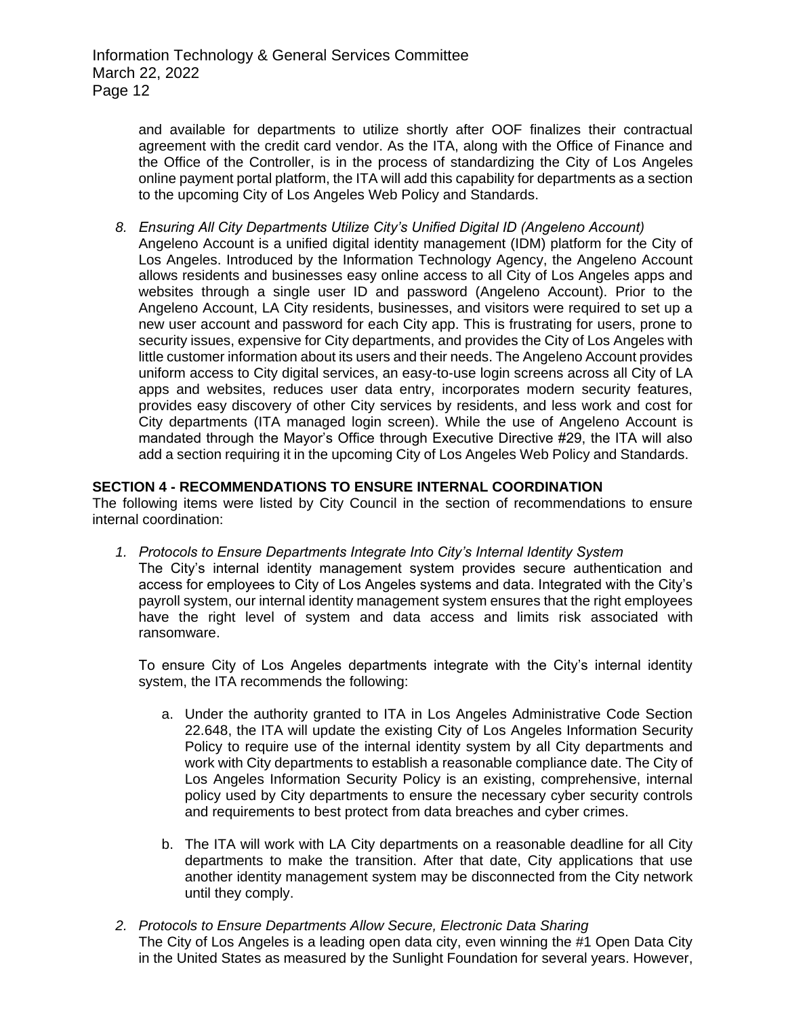and available for departments to utilize shortly after OOF finalizes their contractual agreement with the credit card vendor. As the ITA, along with the Office of Finance and the Office of the Controller, is in the process of standardizing the City of Los Angeles online payment portal platform, the ITA will add this capability for departments as a section to the upcoming City of Los Angeles Web Policy and Standards.

*8. Ensuring All City Departments Utilize City's Unified Digital ID (Angeleno Account)* Angeleno Account is a unified digital identity management (IDM) platform for the City of Los Angeles. Introduced by the Information Technology Agency, the Angeleno Account allows residents and businesses easy online access to all City of Los Angeles apps and websites through a single user ID and password (Angeleno Account). Prior to the Angeleno Account, LA City residents, businesses, and visitors were required to set up a new user account and password for each City app. This is frustrating for users, prone to security issues, expensive for City departments, and provides the City of Los Angeles with little customer information about its users and their needs. The Angeleno Account provides uniform access to City digital services, an easy-to-use login screens across all City of LA apps and websites, reduces user data entry, incorporates modern security features, provides easy discovery of other City services by residents, and less work and cost for City departments (ITA managed login screen). While the use of Angeleno Account is mandated through the Mayor's Office through Executive Directive #29, the ITA will also add a section requiring it in the upcoming City of Los Angeles Web Policy and Standards.

## **SECTION 4 - RECOMMENDATIONS TO ENSURE INTERNAL COORDINATION**

The following items were listed by City Council in the section of recommendations to ensure internal coordination:

- *1. Protocols to Ensure Departments Integrate Into City's Internal Identity System*
	- The City's internal identity management system provides secure authentication and access for employees to City of Los Angeles systems and data. Integrated with the City's payroll system, our internal identity management system ensures that the right employees have the right level of system and data access and limits risk associated with ransomware.

To ensure City of Los Angeles departments integrate with the City's internal identity system, the ITA recommends the following:

- a. Under the authority granted to ITA in Los Angeles Administrative Code Section 22.648, the ITA will update the existing City of Los Angeles Information Security Policy to require use of the internal identity system by all City departments and work with City departments to establish a reasonable compliance date. The City of Los Angeles Information Security Policy is an existing, comprehensive, internal policy used by City departments to ensure the necessary cyber security controls and requirements to best protect from data breaches and cyber crimes.
- b. The ITA will work with LA City departments on a reasonable deadline for all City departments to make the transition. After that date, City applications that use another identity management system may be disconnected from the City network until they comply.
- *2. Protocols to Ensure Departments Allow Secure, Electronic Data Sharing* The City of Los Angeles is a leading open data city, even winning the #1 Open Data City in the United States as measured by the Sunlight Foundation for several years. However,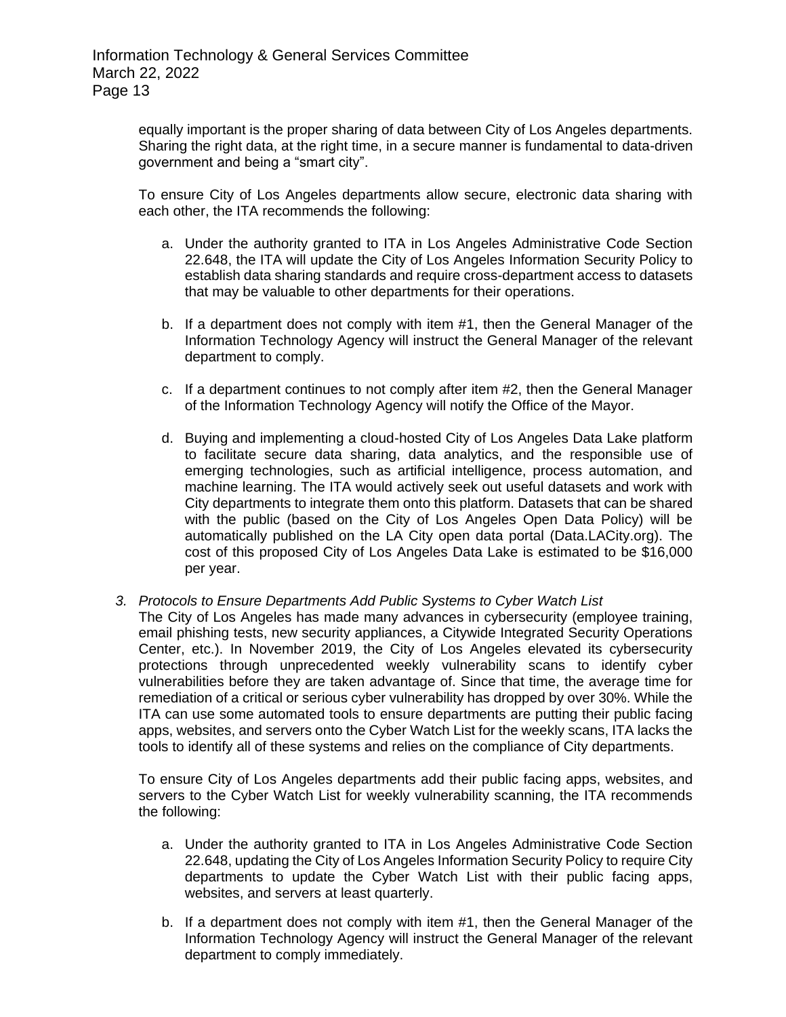equally important is the proper sharing of data between City of Los Angeles departments. Sharing the right data, at the right time, in a secure manner is fundamental to data-driven government and being a "smart city".

To ensure City of Los Angeles departments allow secure, electronic data sharing with each other, the ITA recommends the following:

- a. Under the authority granted to ITA in Los Angeles Administrative Code Section 22.648, the ITA will update the City of Los Angeles Information Security Policy to establish data sharing standards and require cross-department access to datasets that may be valuable to other departments for their operations.
- b. If a department does not comply with item #1, then the General Manager of the Information Technology Agency will instruct the General Manager of the relevant department to comply.
- c. If a department continues to not comply after item #2, then the General Manager of the Information Technology Agency will notify the Office of the Mayor.
- d. Buying and implementing a cloud-hosted City of Los Angeles Data Lake platform to facilitate secure data sharing, data analytics, and the responsible use of emerging technologies, such as artificial intelligence, process automation, and machine learning. The ITA would actively seek out useful datasets and work with City departments to integrate them onto this platform. Datasets that can be shared with the public (based on the City of Los Angeles Open Data Policy) will be automatically published on the LA City open data portal (Data.LACity.org). The cost of this proposed City of Los Angeles Data Lake is estimated to be \$16,000 per year.
- *3. Protocols to Ensure Departments Add Public Systems to Cyber Watch List*

The City of Los Angeles has made many advances in cybersecurity (employee training, email phishing tests, new security appliances, a Citywide Integrated Security Operations Center, etc.). In November 2019, the City of Los Angeles elevated its cybersecurity protections through unprecedented weekly vulnerability scans to identify cyber vulnerabilities before they are taken advantage of. Since that time, the average time for remediation of a critical or serious cyber vulnerability has dropped by over 30%. While the ITA can use some automated tools to ensure departments are putting their public facing apps, websites, and servers onto the Cyber Watch List for the weekly scans, ITA lacks the tools to identify all of these systems and relies on the compliance of City departments.

To ensure City of Los Angeles departments add their public facing apps, websites, and servers to the Cyber Watch List for weekly vulnerability scanning, the ITA recommends the following:

- a. Under the authority granted to ITA in Los Angeles Administrative Code Section 22.648, updating the City of Los Angeles Information Security Policy to require City departments to update the Cyber Watch List with their public facing apps, websites, and servers at least quarterly.
- b. If a department does not comply with item #1, then the General Manager of the Information Technology Agency will instruct the General Manager of the relevant department to comply immediately.